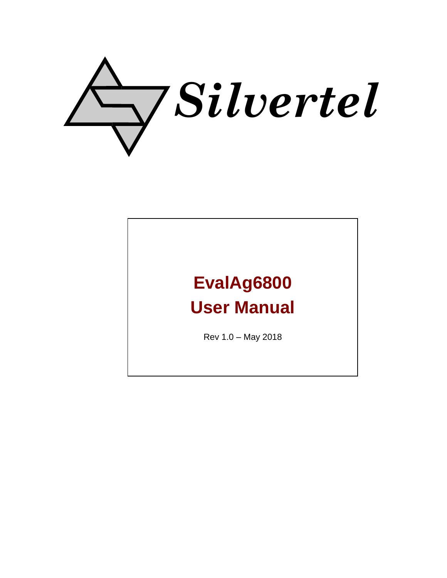

# **EvalAg6800 User Manual**

Rev 1.0 – May 2018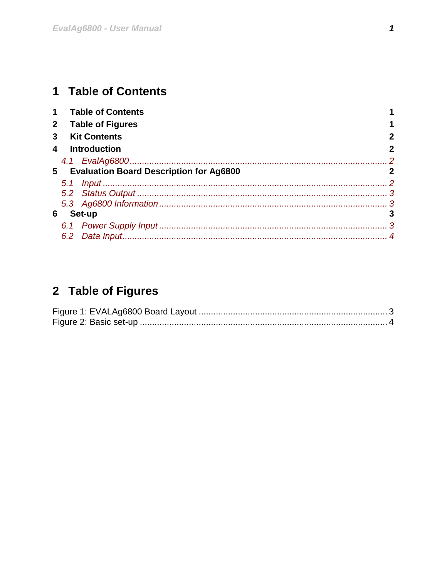## <span id="page-1-0"></span>1 Table of Contents

| $\mathbf 1$    |     | <b>Table of Contents</b>                  |   |
|----------------|-----|-------------------------------------------|---|
| 2 <sup>2</sup> |     | <b>Table of Figures</b>                   |   |
| 3              |     | <b>Kit Contents</b>                       | 2 |
| 4              |     | <b>Introduction</b>                       | 2 |
|                |     |                                           |   |
|                |     | 5 Evaluation Board Description for Ag6800 |   |
|                |     |                                           |   |
|                |     |                                           |   |
|                |     |                                           |   |
| 6              |     | Set-up                                    |   |
|                |     |                                           |   |
|                | 6.2 |                                           |   |

## <span id="page-1-1"></span>2 Table of Figures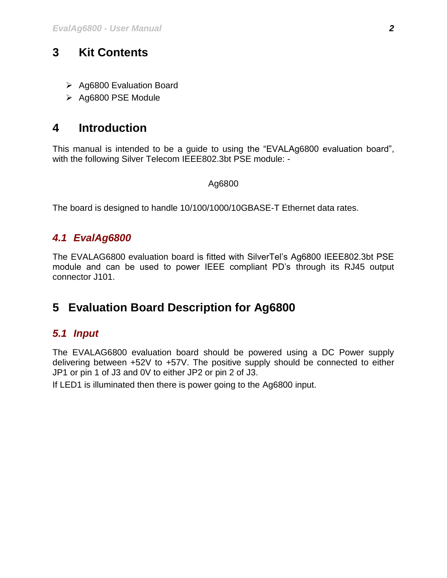## <span id="page-2-0"></span>**3 Kit Contents**

- $\triangleright$  Ag6800 Evaluation Board
- $\triangleright$  Ag6800 PSE Module

## <span id="page-2-1"></span>**4 Introduction**

This manual is intended to be a guide to using the "EVALAg6800 evaluation board", with the following Silver Telecom IEEE802.3bt PSE module: -

#### Ag6800

The board is designed to handle 10/100/1000/10GBASE-T Ethernet data rates.

### <span id="page-2-2"></span>*4.1 EvalAg6800*

The EVALAG6800 evaluation board is fitted with SilverTel's Ag6800 IEEE802.3bt PSE module and can be used to power IEEE compliant PD's through its RJ45 output connector J101.

## <span id="page-2-3"></span>**5 Evaluation Board Description for Ag6800**

#### <span id="page-2-4"></span>*5.1 Input*

The EVALAG6800 evaluation board should be powered using a DC Power supply delivering between +52V to +57V. The positive supply should be connected to either JP1 or pin 1 of J3 and 0V to either JP2 or pin 2 of J3.

If LED1 is illuminated then there is power going to the Ag6800 input.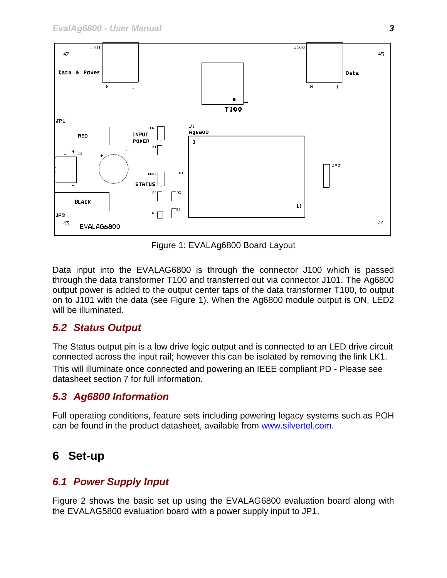

Figure 1: EVALAg6800 Board Layout

<span id="page-3-4"></span>Data input into the EVALAG6800 is through the connector J100 which is passed through the data transformer T100 and transferred out via connector J101. The Ag6800 output power is added to the output center taps of the data transformer T100, to output on to J101 with the data (see Figure 1). When the Ag6800 module output is ON, LED2 will be illuminated.

#### <span id="page-3-0"></span>*5.2 Status Output*

The Status output pin is a low drive logic output and is connected to an LED drive circuit connected across the input rail; however this can be isolated by removing the link LK1.

This will illuminate once connected and powering an IEEE compliant PD - Please see datasheet section 7 for full information.

#### <span id="page-3-1"></span>*5.3 Ag6800 Information*

Full operating conditions, feature sets including powering legacy systems such as POH can be found in the product datasheet, available from [www.silvertel.com.](http://www.silvertel.com/)

## <span id="page-3-2"></span>**6 Set-up**

#### <span id="page-3-3"></span>*6.1 Power Supply Input*

Figure 2 shows the basic set up using the EVALAG6800 evaluation board along with the EVALAG5800 evaluation board with a power supply input to JP1.